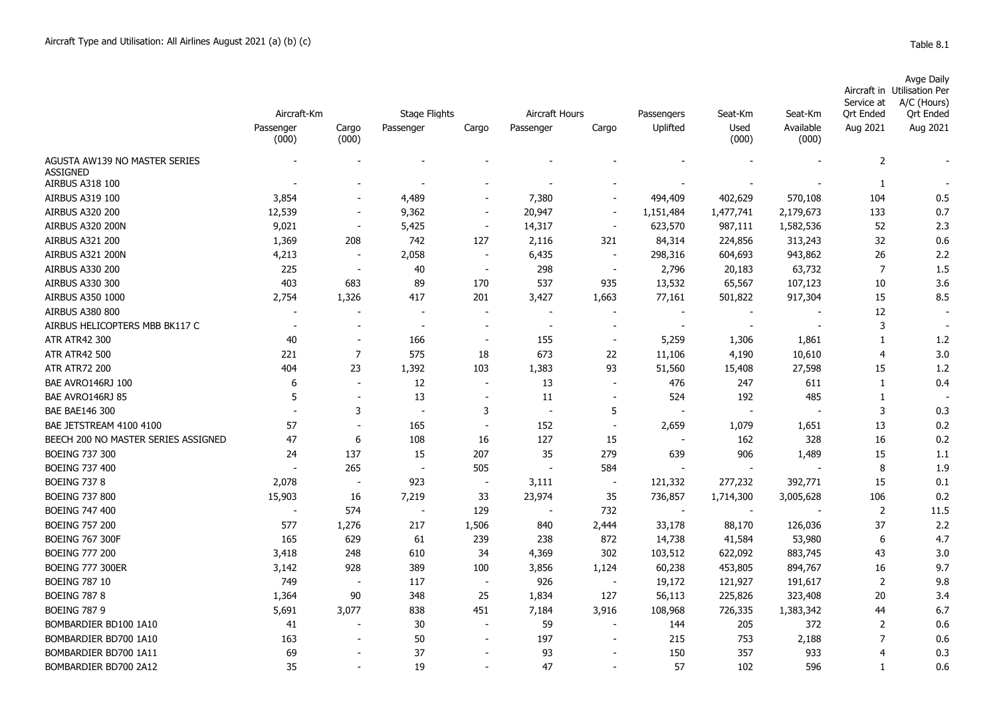|  |  | able |  |  |
|--|--|------|--|--|
|--|--|------|--|--|

|                                                  | Aircraft-Km |                          |                                   |                          |                                      |                          |                          |                 |                      | Service at            | <b>Avge Daily</b><br>Aircraft in Utilisation Per<br>A/C (Hours) |
|--------------------------------------------------|-------------|--------------------------|-----------------------------------|--------------------------|--------------------------------------|--------------------------|--------------------------|-----------------|----------------------|-----------------------|-----------------------------------------------------------------|
|                                                  | Passenger   | Cargo                    | <b>Stage Flights</b><br>Passenger | Cargo                    | Aircraft Hours<br>Cargo<br>Passenger |                          | Passengers<br>Uplifted   | Seat-Km<br>Used | Seat-Km<br>Available | Ort Ended<br>Aug 2021 | <b>Qrt Ended</b><br>Aug 2021                                    |
|                                                  | (000)       | (000)                    |                                   |                          |                                      |                          |                          | (000)           | (000)                |                       |                                                                 |
| AGUSTA AW139 NO MASTER SERIES<br><b>ASSIGNED</b> |             |                          |                                   |                          |                                      |                          |                          |                 |                      | $\overline{2}$        |                                                                 |
| <b>AIRBUS A318 100</b>                           |             |                          |                                   |                          |                                      |                          |                          |                 |                      | 1                     |                                                                 |
| AIRBUS A319 100                                  | 3,854       |                          | 4,489                             |                          | 7,380                                |                          | 494,409                  | 402,629         | 570,108              | 104                   | 0.5                                                             |
| AIRBUS A320 200                                  | 12,539      |                          | 9,362                             | $\sim$                   | 20,947                               | $\blacksquare$           | 1,151,484                | 1,477,741       | 2,179,673            | 133                   | 0.7                                                             |
| AIRBUS A320 200N                                 | 9,021       | $\sim$                   | 5,425                             | $\overline{\phantom{a}}$ | 14,317                               | $\sim$                   | 623,570                  | 987,111         | 1,582,536            | 52                    | 2.3                                                             |
| <b>AIRBUS A321 200</b>                           | 1,369       | 208                      | 742                               | 127                      | 2,116                                | 321                      | 84,314                   | 224,856         | 313,243              | 32                    | 0.6                                                             |
| AIRBUS A321 200N                                 | 4,213       |                          | 2,058                             | $\overline{\phantom{a}}$ | 6,435                                | $\blacksquare$           | 298,316                  | 604,693         | 943,862              | 26                    | 2.2                                                             |
| <b>AIRBUS A330 200</b>                           | 225         |                          | 40                                | $\overline{\phantom{a}}$ | 298                                  | $\overline{\phantom{a}}$ | 2,796                    | 20,183          | 63,732               | $\overline{7}$        | 1.5                                                             |
| AIRBUS A330 300                                  | 403         | 683                      | 89                                | 170                      | 537                                  | 935                      | 13,532                   | 65,567          | 107,123              | 10                    | 3.6                                                             |
| AIRBUS A350 1000                                 | 2,754       | 1,326                    | 417                               | 201                      | 3,427                                | 1,663                    | 77,161                   | 501,822         | 917,304              | 15                    | 8.5                                                             |
| <b>AIRBUS A380 800</b>                           |             |                          |                                   | $\overline{\phantom{a}}$ |                                      |                          | $\overline{\phantom{a}}$ |                 |                      | 12                    |                                                                 |
| AIRBUS HELICOPTERS MBB BK117 C                   |             |                          | $\overline{\phantom{a}}$          | $\overline{\phantom{a}}$ |                                      | $\sim$                   | $\overline{\phantom{a}}$ |                 |                      | 3                     |                                                                 |
| <b>ATR ATR42 300</b>                             | 40          |                          | 166                               | $\overline{\phantom{a}}$ | 155                                  |                          | 5,259                    | 1,306           | 1,861                | 1                     | 1.2                                                             |
| <b>ATR ATR42 500</b>                             | 221         | $\overline{7}$           | 575                               | 18                       | 673                                  | 22                       | 11,106                   | 4,190           | 10,610               | $\overline{4}$        | 3.0                                                             |
| <b>ATR ATR72 200</b>                             | 404         | 23                       | 1,392                             | 103                      | 1,383                                | 93                       | 51,560                   | 15,408          | 27,598               | 15                    | 1.2                                                             |
| BAE AVRO146RJ 100                                | 6           | $\sim$                   | 12                                | $\overline{\phantom{a}}$ | 13                                   |                          | 476                      | 247             | 611                  | $\mathbf{1}$          | 0.4                                                             |
| BAE AVRO146RJ 85                                 | 5           | $\sim$                   | 13                                | $\overline{\phantom{a}}$ | 11                                   |                          | 524                      | 192             | 485                  | $\mathbf{1}$          |                                                                 |
| <b>BAE BAE146 300</b>                            |             | 3                        | $\overline{\phantom{a}}$          | 3                        |                                      | 5                        |                          |                 |                      | 3                     | 0.3                                                             |
| BAE JETSTREAM 4100 4100                          | 57          | $\overline{\phantom{a}}$ | 165                               |                          | 152                                  | $\sim$                   | 2,659                    | 1,079           | 1,651                | 13                    | 0.2                                                             |
| BEECH 200 NO MASTER SERIES ASSIGNED              | 47          | 6                        | 108                               | 16                       | 127                                  | 15                       | $\sim$                   | 162             | 328                  | 16                    | 0.2                                                             |
| <b>BOEING 737 300</b>                            | 24          | 137                      | 15                                | 207                      | 35                                   | 279                      | 639                      | 906             | 1,489                | 15                    | 1.1                                                             |
| <b>BOEING 737 400</b>                            |             | 265                      | $\blacksquare$                    | 505                      |                                      | 584                      | $\overline{\phantom{a}}$ |                 |                      | 8                     | 1.9                                                             |
| <b>BOEING 737 8</b>                              | 2,078       | $\blacksquare$           | 923                               | $\blacksquare$           | 3,111                                | $\blacksquare$           | 121,332                  | 277,232         | 392,771              | 15                    | 0.1                                                             |
| <b>BOEING 737 800</b>                            | 15,903      | 16                       | 7,219                             | 33                       | 23,974                               | 35                       | 736,857                  | 1,714,300       | 3,005,628            | 106                   | 0.2                                                             |
| <b>BOEING 747 400</b>                            | $\sim$      | 574                      | $\overline{\phantom{a}}$          | 129                      |                                      | 732                      | $\sim$                   | $\sim$          |                      | $\overline{2}$        | 11.5                                                            |
| <b>BOEING 757 200</b>                            | 577         | 1,276                    | 217                               | 1,506                    | 840                                  | 2,444                    | 33,178                   | 88,170          | 126,036              | 37                    | 2.2                                                             |
| <b>BOEING 767 300F</b>                           | 165         | 629                      | 61                                | 239                      | 238                                  | 872                      | 14,738                   | 41,584          | 53,980               | 6                     | 4.7                                                             |
| <b>BOEING 777 200</b>                            | 3,418       | 248                      | 610                               | 34                       | 4,369                                | 302                      | 103,512                  | 622,092         | 883,745              | 43                    | 3.0                                                             |
| <b>BOEING 777 300ER</b>                          | 3,142       | 928                      | 389                               | 100                      | 3,856                                | 1,124                    | 60,238                   | 453,805         | 894,767              | 16                    | 9.7                                                             |
| <b>BOEING 787 10</b>                             | 749         |                          | 117                               | $\overline{\phantom{a}}$ | 926                                  |                          | 19,172                   | 121,927         | 191,617              | 2                     | 9.8                                                             |
| <b>BOEING 787 8</b>                              | 1,364       | 90                       | 348                               | 25                       | 1,834                                | 127                      | 56,113                   | 225,826         | 323,408              | 20                    | 3.4                                                             |
| <b>BOEING 787 9</b>                              | 5,691       | 3,077                    | 838                               | 451                      | 7,184                                | 3,916                    | 108,968                  | 726,335         | 1,383,342            | 44                    | 6.7                                                             |
| BOMBARDIER BD100 1A10                            | 41          |                          | 30                                | $\overline{\phantom{a}}$ | 59                                   | $\overline{\phantom{a}}$ | 144                      | 205             | 372                  | $\overline{2}$        | 0.6                                                             |
| BOMBARDIER BD700 1A10                            | 163         |                          | 50                                |                          | 197                                  |                          | 215                      | 753             | 2,188                | $\overline{7}$        | 0.6                                                             |
| BOMBARDIER BD700 1A11                            | 69          |                          | 37                                |                          | 93                                   |                          | 150                      | 357             | 933                  | $\overline{4}$        | 0.3                                                             |

BOMBARDIER BD700 2A12 35 35 - 19 - 47 - 57 102 596 1 0.6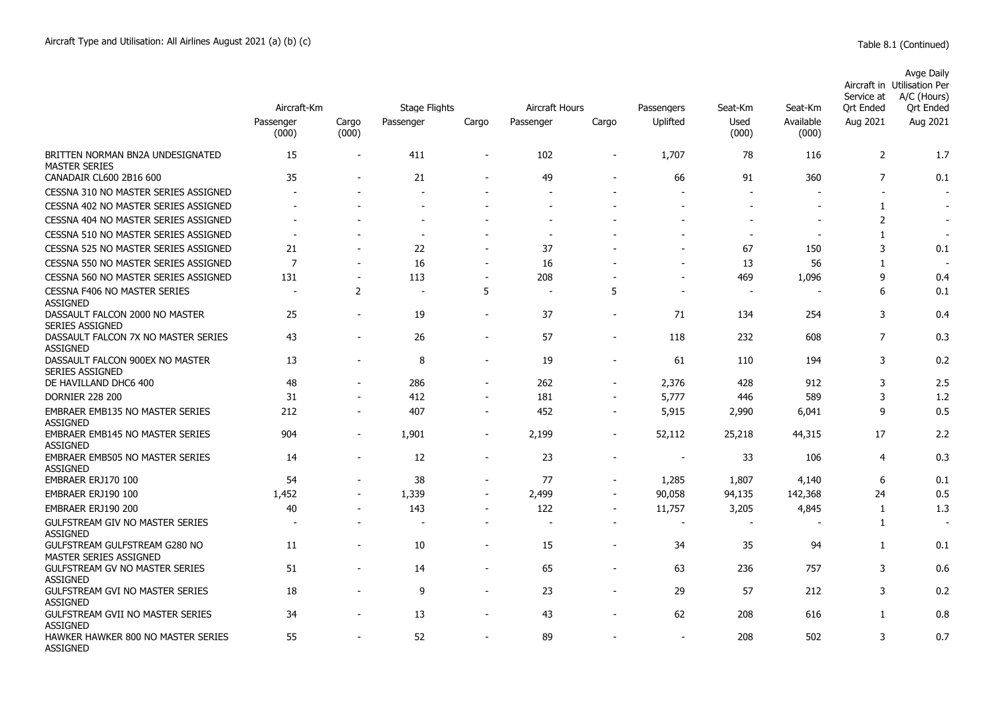|                                                           | Aircraft-Km        |                | <b>Stage Flights</b>     |                          | Aircraft Hours           |                          | Passengers     | Seat-Km                  | Seat-Km                  | Service at<br>Ort Ended | Avge Daily<br>Aircraft in Utilisation Per<br>A/C (Hours)<br>Ort Ended |
|-----------------------------------------------------------|--------------------|----------------|--------------------------|--------------------------|--------------------------|--------------------------|----------------|--------------------------|--------------------------|-------------------------|-----------------------------------------------------------------------|
|                                                           | Passenger<br>(000) | Cargo<br>(000) | Passenger                | Cargo                    | Passenger                | Cargo                    | Uplifted       | Used<br>(000)            | Available<br>(000)       | Aug 2021                | Aug 2021                                                              |
| BRITTEN NORMAN BN2A UNDESIGNATED<br><b>MASTER SERIES</b>  | 15                 | L,             | 411                      | $\overline{\phantom{0}}$ | 102                      | $\overline{\phantom{0}}$ | 1,707          | 78                       | 116                      | $\overline{2}$          | 1.7                                                                   |
| CANADAIR CL600 2B16 600                                   | 35                 |                | 21                       | $\overline{a}$           | 49                       | $\blacksquare$           | 66             | 91                       | 360                      | $\overline{7}$          | 0.1                                                                   |
| CESSNA 310 NO MASTER SERIES ASSIGNED                      |                    |                | $\overline{\phantom{a}}$ |                          |                          |                          |                | $\sim$                   |                          | $\sim$                  |                                                                       |
| CESSNA 402 NO MASTER SERIES ASSIGNED                      | $\blacksquare$     |                |                          | $\overline{a}$           | ÷.                       | ٠                        | $\blacksquare$ | $\overline{a}$           | $\overline{\phantom{a}}$ | $\mathbf{1}$            | $\overline{\phantom{a}}$                                              |
| CESSNA 404 NO MASTER SERIES ASSIGNED                      |                    |                |                          |                          |                          |                          |                |                          |                          | $\overline{2}$          | $\overline{\phantom{a}}$                                              |
| CESSNA 510 NO MASTER SERIES ASSIGNED                      | ÷,                 |                | $\blacksquare$           |                          | $\overline{\phantom{a}}$ |                          |                | $\sim$                   | $\overline{\phantom{a}}$ | 1                       | $\overline{\phantom{a}}$                                              |
| CESSNA 525 NO MASTER SERIES ASSIGNED                      | 21                 |                | 22                       |                          | 37                       |                          |                | 67                       | 150                      | 3                       | 0.1                                                                   |
| CESSNA 550 NO MASTER SERIES ASSIGNED                      | $\overline{7}$     |                | 16                       | $\overline{a}$           | 16                       |                          |                | 13                       | 56                       | 1                       |                                                                       |
| CESSNA 560 NO MASTER SERIES ASSIGNED                      | 131                | $\overline{a}$ | 113                      | $\overline{a}$           | 208                      |                          |                | 469                      | 1,096                    | 9                       | 0.4                                                                   |
| CESSNA F406 NO MASTER SERIES<br><b>ASSIGNED</b>           | ÷,                 | 2              | $\overline{\phantom{a}}$ | 5                        | $\overline{\phantom{a}}$ | 5                        | $\sim$         | $\overline{\phantom{a}}$ |                          | 6                       | 0.1                                                                   |
| DASSAULT FALCON 2000 NO MASTER<br><b>SERIES ASSIGNED</b>  | 25                 | $\overline{a}$ | 19                       | $\blacksquare$           | 37                       | $\overline{\phantom{a}}$ | 71             | 134                      | 254                      | 3                       | 0.4                                                                   |
| DASSAULT FALCON 7X NO MASTER SERIES<br><b>ASSIGNED</b>    | 43                 | $\blacksquare$ | 26                       | $\blacksquare$           | 57                       | ٠                        | 118            | 232                      | 608                      | $\overline{7}$          | 0.3                                                                   |
| DASSAULT FALCON 900EX NO MASTER<br><b>SERIES ASSIGNED</b> | 13                 | $\blacksquare$ | 8                        | $\overline{a}$           | 19                       | $\overline{\phantom{a}}$ | 61             | 110                      | 194                      | 3                       | 0.2                                                                   |
| DE HAVILLAND DHC6 400                                     | 48                 | $\overline{a}$ | 286                      | $\overline{\phantom{a}}$ | 262                      | $\overline{\phantom{a}}$ | 2,376          | 428                      | 912                      | 3                       | 2.5                                                                   |
| <b>DORNIER 228 200</b>                                    | 31                 |                | 412                      |                          | 181                      |                          | 5,777          | 446                      | 589                      | 3                       | 1.2                                                                   |
| EMBRAER EMB135 NO MASTER SERIES<br>ASSIGNED               | 212                | ÷,             | 407                      | $\blacksquare$           | 452                      | $\overline{a}$           | 5,915          | 2,990                    | 6,041                    | 9                       | 0.5                                                                   |
| EMBRAER EMB145 NO MASTER SERIES<br><b>ASSIGNED</b>        | 904                | $\overline{a}$ | 1,901                    | $\overline{a}$           | 2,199                    | $\overline{a}$           | 52,112         | 25,218                   | 44,315                   | 17                      | 2.2                                                                   |
| <b>EMBRAER EMB505 NO MASTER SERIES</b><br><b>ASSIGNED</b> | 14                 | $\overline{a}$ | 12                       | $\overline{\phantom{a}}$ | 23                       | $\overline{\phantom{a}}$ |                | 33                       | 106                      | 4                       | 0.3                                                                   |
| EMBRAER ERJ170 100                                        | 54                 | ÷,             | 38                       | $\overline{\phantom{a}}$ | 77                       | ÷,                       | 1,285          | 1,807                    | 4,140                    | 6                       | 0.1                                                                   |
| EMBRAER ERJ190 100                                        | 1,452              | $\blacksquare$ | 1,339                    | ÷,                       | 2,499                    | ÷,                       | 90,058         | 94,135                   | 142,368                  | 24                      | 0.5                                                                   |
| EMBRAER ERJ190 200                                        | 40                 | $\blacksquare$ | 143                      | $\overline{a}$           | 122                      | $\overline{a}$           | 11,757         | 3,205                    | 4,845                    | 1                       | 1.3                                                                   |
| GULFSTREAM GIV NO MASTER SERIES<br><b>ASSIGNED</b>        | ÷                  |                |                          |                          | $\overline{\phantom{a}}$ |                          | $\sim$         | $\overline{a}$           |                          | 1                       |                                                                       |
| GULFSTREAM GULFSTREAM G280 NO<br>MASTER SERIES ASSIGNED   | 11                 |                | 10                       | L,                       | 15                       | ÷,                       | 34             | 35                       | 94                       | $\mathbf{1}$            | 0.1                                                                   |
| <b>GULFSTREAM GV NO MASTER SERIES</b><br><b>ASSIGNED</b>  | 51                 |                | 14                       | $\overline{a}$           | 65                       |                          | 63             | 236                      | 757                      | 3                       | 0.6                                                                   |
| <b>GULFSTREAM GVI NO MASTER SERIES</b><br><b>ASSIGNED</b> | 18                 | ÷,             | 9                        | $\blacksquare$           | 23                       | $\overline{\phantom{a}}$ | 29             | 57                       | 212                      | 3                       | 0.2                                                                   |
| GULFSTREAM GVII NO MASTER SERIES<br><b>ASSIGNED</b>       | 34                 | $\blacksquare$ | 13                       | $\overline{a}$           | 43                       | $\overline{a}$           | 62             | 208                      | 616                      | 1                       | 0.8                                                                   |
| HAWKER HAWKER 800 NO MASTER SERIES<br><b>ASSIGNED</b>     | 55                 |                | 52                       |                          | 89                       |                          | $\blacksquare$ | 208                      | 502                      | 3                       | 0.7                                                                   |